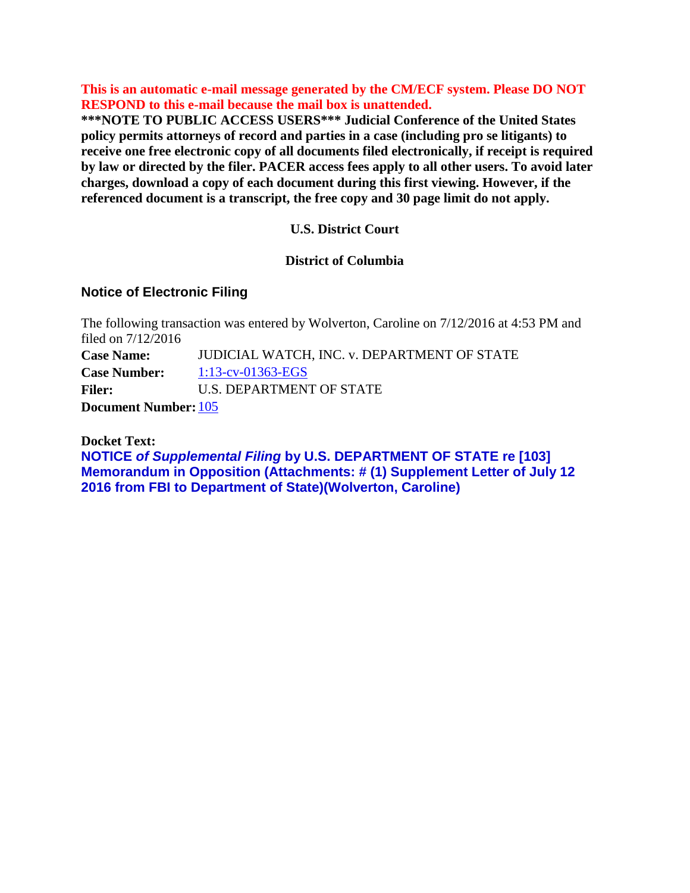**This is an automatic e-mail message generated by the CM/ECF system. Please DO NOT RESPOND to this e-mail because the mail box is unattended.** 

**\*\*\*NOTE TO PUBLIC ACCESS USERS\*\*\* Judicial Conference of the United States policy permits attorneys of record and parties in a case (including pro se litigants) to receive one free electronic copy of all documents filed electronically, if receipt is required by law or directed by the filer. PACER access fees apply to all other users. To avoid later charges, download a copy of each document during this first viewing. However, if the referenced document is a transcript, the free copy and 30 page limit do not apply.**

# **U.S. District Court**

# **District of Columbia**

# **Notice of Electronic Filing**

The following transaction was entered by Wolverton, Caroline on 7/12/2016 at 4:53 PM and filed on 7/12/2016 **Case Name:** JUDICIAL WATCH, INC. v. DEPARTMENT OF STATE **Case Number:** [1:13-cv-01363-EGS](https://ecf.dcd.uscourts.gov/cgi-bin/DktRpt.pl?161905) Filer: U.S. DEPARTMENT OF STATE **Document Number:** [105](https://ecf.dcd.uscourts.gov/doc1/04505686514?caseid=161905&de_seq_num=420&magic_num=47551106)

**Docket Text:**

**NOTICE** *of Supplemental Filing* **by U.S. DEPARTMENT OF STATE re [103] Memorandum in Opposition (Attachments: # (1) Supplement Letter of July 12 2016 from FBI to Department of State)(Wolverton, Caroline)**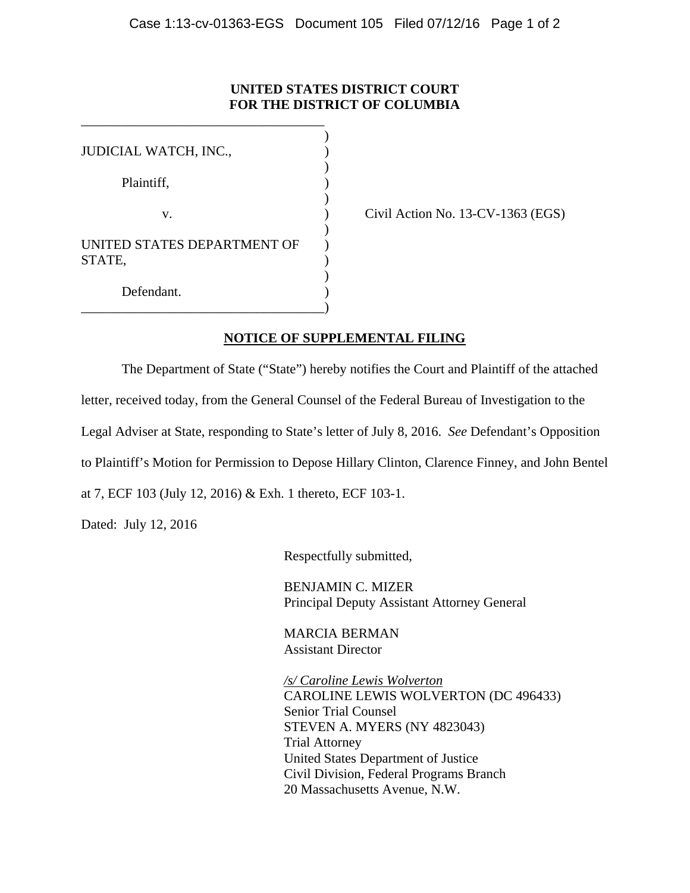# **UNITED STATES DISTRICT COURT FOR THE DISTRICT OF COLUMBIA**

| JUDICIAL WATCH, INC.,       |  |
|-----------------------------|--|
|                             |  |
| Plaintiff,                  |  |
|                             |  |
| v.                          |  |
|                             |  |
| UNITED STATES DEPARTMENT OF |  |
| STATE,                      |  |
|                             |  |
| Defendant.                  |  |
|                             |  |

\_\_\_\_\_\_\_\_\_\_\_\_\_\_\_\_\_\_\_\_\_\_\_\_\_\_\_\_\_\_\_\_\_\_\_\_

Civil Action No.  $13$ -CV-1363 (EGS)

# **NOTICE OF SUPPLEMENTAL FILING**

 The Department of State ("State") hereby notifies the Court and Plaintiff of the attached letter, received today, from the General Counsel of the Federal Bureau of Investigation to the Legal Adviser at State, responding to State's letter of July 8, 2016. *See* Defendant's Opposition to Plaintiff's Motion for Permission to Depose Hillary Clinton, Clarence Finney, and John Bentel at 7, ECF 103 (July 12, 2016) & Exh. 1 thereto, ECF 103-1.

Dated: July 12, 2016

Respectfully submitted,

BENJAMIN C. MIZER Principal Deputy Assistant Attorney General

MARCIA BERMAN Assistant Director

*/s/ Caroline Lewis Wolverton*  CAROLINE LEWIS WOLVERTON (DC 496433) Senior Trial Counsel STEVEN A. MYERS (NY 4823043) Trial Attorney United States Department of Justice Civil Division, Federal Programs Branch 20 Massachusetts Avenue, N.W.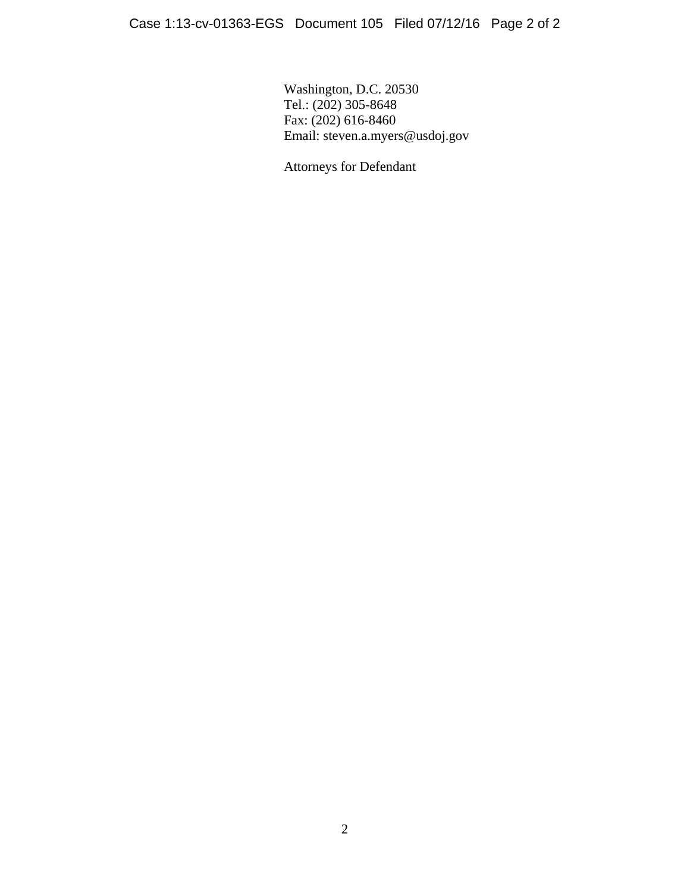Washington, D.C. 20530 Tel.: (202) 305-8648 Fax: (202) 616-8460 Email: steven.a.myers@usdoj.gov

Attorneys for Defendant